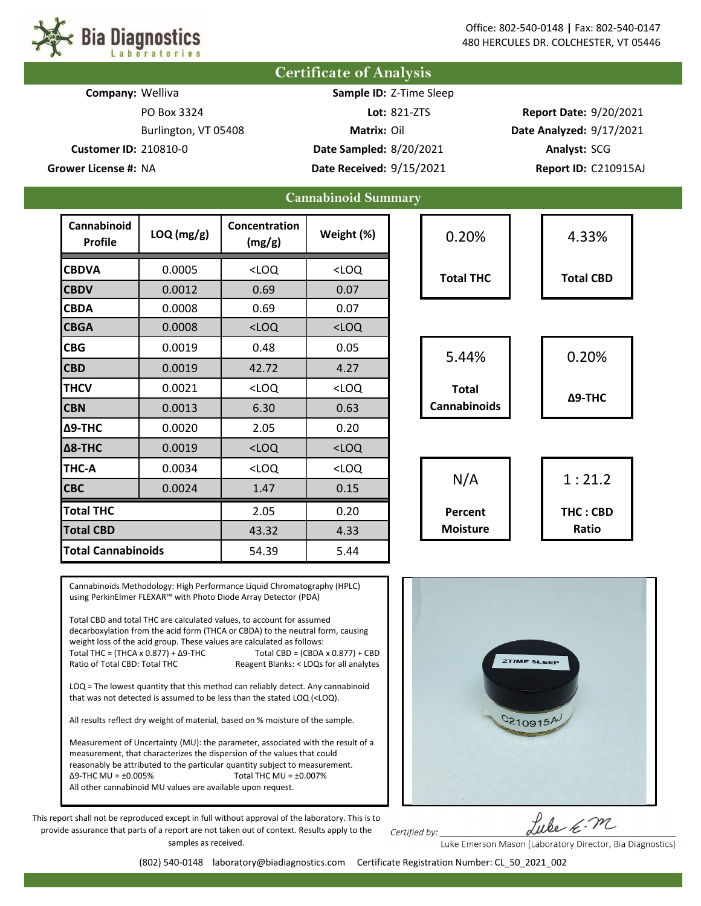

|                              | <b>Certificate of Analysis</b> |                      |                         |                            |         |                               |                          |                      |  |
|------------------------------|--------------------------------|----------------------|-------------------------|----------------------------|---------|-------------------------------|--------------------------|----------------------|--|
| Company: Welliva             |                                |                      |                         | Sample ID: Z-Time Sleep    |         |                               |                          |                      |  |
| PO Box 3324                  |                                |                      | Lot: 821-ZTS            |                            |         | <b>Report Date: 9/20/2021</b> |                          |                      |  |
|                              |                                | Burlington, VT 05408 |                         | Matrix: Oil                |         |                               | Date Analyzed: 9/17/2021 |                      |  |
| <b>Customer ID: 210810-0</b> |                                |                      | Date Sampled: 8/20/2021 |                            |         | Analyst: SCG                  |                          |                      |  |
|                              | Grower License #: NA           |                      |                         | Date Received: 9/15/2021   |         |                               |                          | Report ID: C210915AJ |  |
|                              |                                |                      |                         | <b>Cannabinoid Summary</b> |         |                               |                          |                      |  |
|                              | Cannabinoid<br><b>Profile</b>  | LOQ (mg/g)           | Concentration<br>(mg/g) | Weight (%)                 |         | 0.20%                         |                          | 4.33%                |  |
|                              | <b>CBDVA</b>                   | 0.0005               | $<$ LOQ                 | $<$ LOQ                    |         | <b>Total THC</b>              |                          | <b>Total CBD</b>     |  |
|                              | <b>CBDV</b>                    | 0.0012               | 0.69                    | 0.07                       |         |                               |                          |                      |  |
|                              | <b>CBDA</b>                    | 0.0008               | 0.69                    | 0.07                       |         |                               |                          |                      |  |
|                              | <b>CBGA</b>                    | 0.0008               | $<$ LOQ                 | $<$ LOQ                    |         |                               |                          |                      |  |
| <b>CBG</b>                   | 0.0019                         | 0.48                 | 0.05                    |                            | 5.44%   |                               | 0.20%                    |                      |  |
|                              | <b>CBD</b>                     | 0.0019               | 42.72                   | 4.27                       |         |                               |                          |                      |  |
|                              | <b>THCV</b>                    | 0.0021               | $<$ LOQ                 | $<$ LOQ                    |         | <b>Total</b>                  |                          | $\Delta$ 9-THC       |  |
|                              | <b>CBN</b>                     | 0.0013               | 6.30                    | 0.63                       |         | <b>Cannabinoids</b>           |                          |                      |  |
|                              | $\Delta$ 9-THC                 | 0.0020               | 2.05                    | 0.20                       |         |                               |                          |                      |  |
|                              | Δ8-THC                         | 0.0019               | $<$ LOQ                 | $<$ LOQ                    |         |                               |                          |                      |  |
|                              | THC-A                          | 0.0034               | $<$ LOQ                 | $<$ LOQ                    |         |                               |                          |                      |  |
|                              | <b>CBC</b>                     | 0.0024               | 1.47                    | 0.15                       |         | N/A                           |                          | 1:21.2               |  |
| <b>Total THC</b>             |                                | 2.05                 | 0.20                    |                            | Percent |                               | THC: CBD                 |                      |  |
|                              | <b>Total CBD</b>               |                      | 43.32                   | 4.33                       |         | <b>Moisture</b>               |                          | Ratio                |  |
|                              | <b>Total Cannabinoids</b>      |                      | 54.39                   | 5.44                       |         |                               |                          |                      |  |

Cannabinoids Methodology: High Performance Liquid Chromatography (HPLC) using PerkinElmer FLEXAR™ with Photo Diode Array Detector (PDA)

Total CBD and total THC are calculated values, to account for assumed decarboxylation from the acid form (THCA or CBDA) to the neutral form, causing weight loss of the acid group. These values are calculated as follows: Total THC = (THCA x  $0.877$ ) +  $\Delta$ 9-THC Total CBD = (CBDA x  $0.877$ ) + CBD<br>Ratio of Total CBD: Total THC Reagent Blanks: < LOQs for all analytes Reagent Blanks: < LOQs for all analytes

LOQ = The lowest quantity that this method can reliably detect. Any cannabinoid that was not detected is assumed to be less than the stated LOQ (<LOQ).

All results reflect dry weight of material, based on % moisture of the sample.

Measurement of Uncertainty (MU): the parameter, associated with the result of a measurement, that characterizes the dispersion of the values that could reasonably be attributed to the particular quantity subject to measurement. Δ9-THC MU = ±0.005% Total THC MU = ±0.007% All other cannabinoid MU values are available upon request.



Lube E.M

This report shall not be reproduced except in full without approval of the laboratory. This is to provide assurance that parts of a report are not taken out of context. Results apply to the samples as received.

Luke Emerson Mason (Laboratory Director, Bia Diagnostics)

Certified by: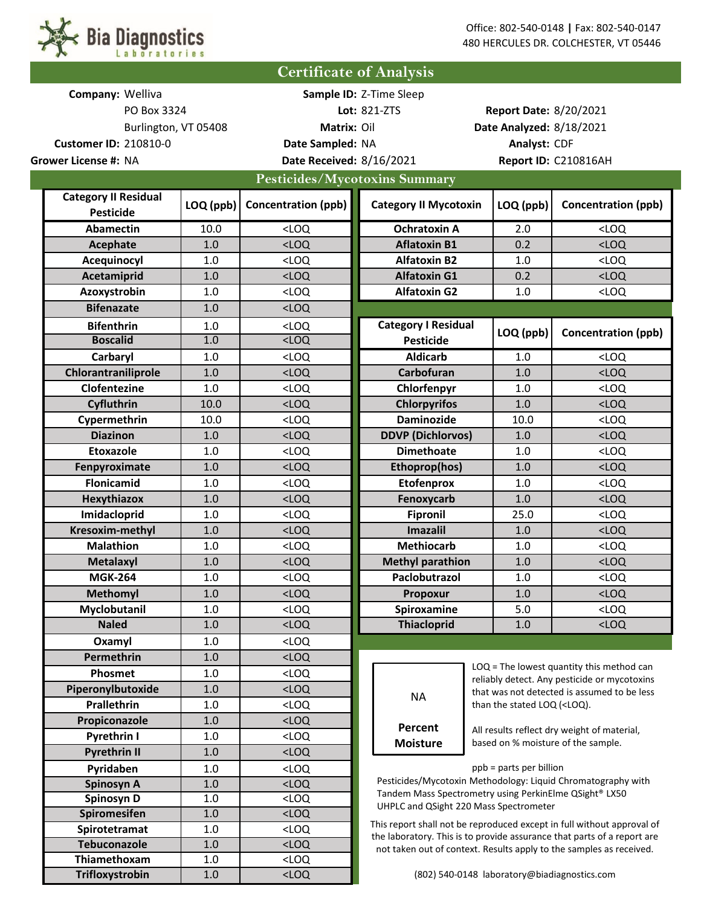

| <b>Certificate of Analysis</b>                                      |                             |            |                                                                                                                                         |                                                        |                                             |                                                                 |                                                                         |  |
|---------------------------------------------------------------------|-----------------------------|------------|-----------------------------------------------------------------------------------------------------------------------------------------|--------------------------------------------------------|---------------------------------------------|-----------------------------------------------------------------|-------------------------------------------------------------------------|--|
|                                                                     | Company: Welliva            |            |                                                                                                                                         | Sample ID: Z-Time Sleep                                |                                             |                                                                 |                                                                         |  |
| PO Box 3324<br><b>Customer ID: 210810-0</b><br>Grower License #: NA |                             |            |                                                                                                                                         | Lot: 821-ZTS                                           |                                             | <b>Report Date: 8/20/2021</b>                                   |                                                                         |  |
| Burlington, VT 05408                                                |                             |            | Matrix: Oil                                                                                                                             |                                                        |                                             | Date Analyzed: 8/18/2021                                        |                                                                         |  |
|                                                                     |                             |            | Date Sampled: NA                                                                                                                        |                                                        |                                             | Analyst: CDF                                                    |                                                                         |  |
|                                                                     |                             |            | Date Received: 8/16/2021                                                                                                                |                                                        |                                             |                                                                 | Report ID: C210816AH                                                    |  |
| Pesticides/Mycotoxins Summary                                       |                             |            |                                                                                                                                         |                                                        |                                             |                                                                 |                                                                         |  |
|                                                                     | <b>Category II Residual</b> |            |                                                                                                                                         |                                                        |                                             |                                                                 |                                                                         |  |
|                                                                     | <b>Pesticide</b>            | LOQ (ppb)  | <b>Concentration (ppb)</b>                                                                                                              | <b>Category II Mycotoxin</b>                           |                                             | LOQ (ppb)                                                       | <b>Concentration (ppb)</b>                                              |  |
|                                                                     | <b>Abamectin</b>            | 10.0       | $<$ LOQ                                                                                                                                 | <b>Ochratoxin A</b>                                    |                                             | 2.0                                                             | $<$ LOQ                                                                 |  |
|                                                                     | Acephate                    | 1.0        | $<$ LOQ                                                                                                                                 | <b>Aflatoxin B1</b>                                    |                                             | 0.2                                                             | $<$ LOQ                                                                 |  |
|                                                                     | Acequinocyl                 | 1.0        | $<$ LOQ                                                                                                                                 | <b>Alfatoxin B2</b>                                    |                                             | 1.0                                                             | $<$ LOQ                                                                 |  |
|                                                                     | Acetamiprid                 | 1.0        | $<$ LOQ                                                                                                                                 | <b>Alfatoxin G1</b>                                    |                                             | 0.2                                                             | $<$ LOQ                                                                 |  |
| Azoxystrobin                                                        |                             | 1.0        | $<$ LOQ                                                                                                                                 | <b>Alfatoxin G2</b>                                    |                                             | 1.0                                                             | $<$ LOQ                                                                 |  |
|                                                                     | <b>Bifenazate</b>           | 1.0        | $<$ LOQ                                                                                                                                 |                                                        |                                             |                                                                 |                                                                         |  |
|                                                                     |                             | 1.0        | $<$ LOQ                                                                                                                                 | <b>Category I Residual</b>                             |                                             |                                                                 |                                                                         |  |
| <b>Bifenthrin</b><br><b>Boscalid</b>                                |                             | 1.0        | $<$ LOQ                                                                                                                                 | <b>Pesticide</b>                                       |                                             | LOQ (ppb)                                                       | <b>Concentration (ppb)</b>                                              |  |
|                                                                     | Carbaryl                    | 1.0        | $<$ LOQ                                                                                                                                 | <b>Aldicarb</b>                                        |                                             | 1.0                                                             | $<$ LOQ                                                                 |  |
|                                                                     | Chlorantraniliprole         | 1.0        | $<$ LOQ                                                                                                                                 | Carbofuran                                             |                                             | 1.0                                                             | $<$ LOQ                                                                 |  |
|                                                                     | Clofentezine                | 1.0        | $<$ LOQ                                                                                                                                 | Chlorfenpyr                                            |                                             | 1.0                                                             | $<$ LOQ                                                                 |  |
|                                                                     | Cyfluthrin                  | 10.0       | $<$ LOQ                                                                                                                                 | <b>Chlorpyrifos</b>                                    |                                             | 1.0                                                             | $<$ LOQ                                                                 |  |
|                                                                     | Cypermethrin                | 10.0       | $<$ LOQ                                                                                                                                 | <b>Daminozide</b>                                      |                                             | 10.0                                                            | $<$ LOQ                                                                 |  |
|                                                                     | <b>Diazinon</b>             | 1.0        | $<$ LOQ                                                                                                                                 | <b>DDVP (Dichlorvos)</b>                               |                                             | 1.0                                                             | $<$ LOQ                                                                 |  |
|                                                                     | <b>Etoxazole</b>            | 1.0        | $<$ LOQ                                                                                                                                 | <b>Dimethoate</b>                                      |                                             | 1.0                                                             | $<$ LOQ                                                                 |  |
|                                                                     | Fenpyroximate               | 1.0        | $<$ LOQ                                                                                                                                 | Ethoprop(hos)                                          |                                             | 1.0                                                             | $<$ LOQ                                                                 |  |
|                                                                     | <b>Flonicamid</b>           | 1.0        | $<$ LOQ                                                                                                                                 | <b>Etofenprox</b>                                      |                                             | 1.0                                                             | $<$ LOQ                                                                 |  |
|                                                                     | <b>Hexythiazox</b>          | 1.0        | $<$ LOQ                                                                                                                                 | Fenoxycarb                                             |                                             | 1.0                                                             | $<$ LOQ                                                                 |  |
|                                                                     | Imidacloprid                | 1.0        | $<$ LOQ                                                                                                                                 | <b>Fipronil</b>                                        |                                             | 25.0                                                            | $<$ LOQ                                                                 |  |
|                                                                     | Kresoxim-methyl             | 1.0        | $<$ LOQ                                                                                                                                 | <b>Imazalil</b>                                        |                                             | 1.0                                                             | $<$ LOQ                                                                 |  |
|                                                                     | <b>Malathion</b>            | 1.0        | $<$ LOQ                                                                                                                                 | <b>Methiocarb</b>                                      |                                             | 1.0                                                             | $<$ LOQ                                                                 |  |
|                                                                     | <b>Metalaxyl</b>            | 1.0        | $<$ LOQ                                                                                                                                 | <b>Methyl parathion</b>                                |                                             | 1.0                                                             | $<$ LOQ                                                                 |  |
|                                                                     | <b>MGK-264</b>              | $1.0\,$    | <loq< th=""><th colspan="2">Paclobutrazol</th><th><math display="inline">1.0\,</math></th><th><math>&lt;</math>LOQ</th><th></th></loq<> | Paclobutrazol                                          |                                             | $1.0\,$                                                         | $<$ LOQ                                                                 |  |
|                                                                     | <b>Methomyl</b>             | 1.0        | $<$ LOQ                                                                                                                                 | Propoxur                                               |                                             | 1.0                                                             | $<$ LOQ                                                                 |  |
|                                                                     | Myclobutanil                | 1.0        | $<$ LOQ                                                                                                                                 | Spiroxamine                                            |                                             | 5.0                                                             | $<$ LOQ                                                                 |  |
|                                                                     | <b>Naled</b>                | 1.0        | $<$ LOQ                                                                                                                                 | <b>Thiacloprid</b>                                     |                                             | 1.0                                                             | $<$ LOQ                                                                 |  |
|                                                                     | Oxamyl                      | 1.0        | $<$ LOQ                                                                                                                                 |                                                        |                                             |                                                                 |                                                                         |  |
|                                                                     | Permethrin                  | $1.0\,$    | $<$ LOQ                                                                                                                                 |                                                        | $LOQ$ = The lowest quantity this method can |                                                                 |                                                                         |  |
|                                                                     | Phosmet                     | 1.0        | $<$ LOQ                                                                                                                                 |                                                        |                                             | reliably detect. Any pesticide or mycotoxins                    |                                                                         |  |
|                                                                     | Piperonylbutoxide           | 1.0        | $<$ LOQ                                                                                                                                 | <b>NA</b>                                              |                                             |                                                                 | that was not detected is assumed to be less                             |  |
|                                                                     | Prallethrin                 | 1.0        | $<$ LOQ                                                                                                                                 |                                                        |                                             | than the stated LOQ ( <loq).< th=""><th></th><th></th></loq).<> |                                                                         |  |
|                                                                     | Propiconazole               | 1.0        | $<$ LOQ                                                                                                                                 | Percent                                                |                                             |                                                                 | All results reflect dry weight of material,                             |  |
|                                                                     | Pyrethrin I                 | 1.0        | <loq< th=""><th><b>Moisture</b></th><th></th><th></th><th>based on % moisture of the sample.</th><th></th></loq<>                       | <b>Moisture</b>                                        |                                             |                                                                 | based on % moisture of the sample.                                      |  |
|                                                                     | <b>Pyrethrin II</b>         | 1.0        | $<$ LOQ                                                                                                                                 |                                                        |                                             |                                                                 |                                                                         |  |
|                                                                     | Pyridaben                   | 1.0        | $<$ LOQ                                                                                                                                 |                                                        |                                             | ppb = parts per billion                                         | Pesticides/Mycotoxin Methodology: Liquid Chromatography with            |  |
| Spinosyn A                                                          |                             | $1.0\,$    | $<$ LOQ                                                                                                                                 | Tandem Mass Spectrometry using PerkinElme QSight® LX50 |                                             |                                                                 |                                                                         |  |
| Spinosyn D<br>Spiromesifen                                          |                             | 1.0<br>1.0 | $<$ LOQ<br>$<$ LOQ                                                                                                                      | UHPLC and QSight 220 Mass Spectrometer                 |                                             |                                                                 |                                                                         |  |
|                                                                     |                             | 1.0        | $<$ LOQ                                                                                                                                 |                                                        |                                             |                                                                 | This report shall not be reproduced except in full without approval of  |  |
| Spirotetramat<br><b>Tebuconazole</b>                                |                             | 1.0        | $<$ LOQ                                                                                                                                 |                                                        |                                             |                                                                 | the laboratory. This is to provide assurance that parts of a report are |  |
|                                                                     | Thiamethoxam                | 1.0        | $<$ LOQ                                                                                                                                 |                                                        |                                             |                                                                 | not taken out of context. Results apply to the samples as received.     |  |
|                                                                     | Trifloxystrobin             | $1.0$      | $<$ LOQ                                                                                                                                 | (802) 540-0148 laboratory@biadiagnostics.com           |                                             |                                                                 |                                                                         |  |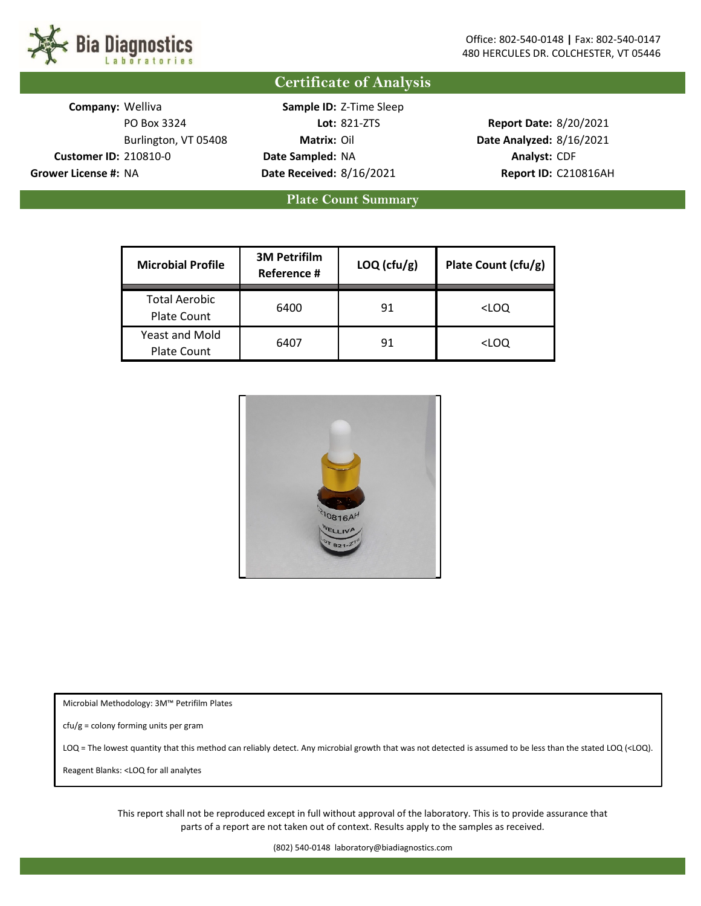

**Certificate of Analysis**

**Company: Welliva Customer ID:** 210810-0 **Date Sampled: Analyst:** CDF

PO Box 3324 **Lot: Report Date:** 8/20/2021 Burlington, VT 05408 **Matrix: Date Analyzed:** 8/16/2021 **Grower License #:** NA **Date Received: Report ID:** C210816AH 8/16/2021 Sample ID: Z-Time Sleep Lot: 821-ZTS Matrix: Oil Date Sampled: NA

**Plate Count Summary**

| <b>Microbial Profile</b>                    | <b>3M Petrifilm</b><br>Reference # | $LOQ$ (cfu/g) | Plate Count (cfu/g) |
|---------------------------------------------|------------------------------------|---------------|---------------------|
| <b>Total Aerobic</b><br><b>Plate Count</b>  | 6400                               | 91            | <loq< td=""></loq<> |
| <b>Yeast and Mold</b><br><b>Plate Count</b> | 6407                               | 91            | <loq< td=""></loq<> |



Microbial Methodology: 3M™ Petrifilm Plates

cfu/g = colony forming units per gram

LOQ = The lowest quantity that this method can reliably detect. Any microbial growth that was not detected is assumed to be less than the stated LOQ (<LOQ).

Reagent Blanks: <LOQ for all analytes

This report shall not be reproduced except in full without approval of the laboratory. This is to provide assurance that parts of a report are not taken out of context. Results apply to the samples as received.

(802) 540-0148 laboratory@biadiagnostics.com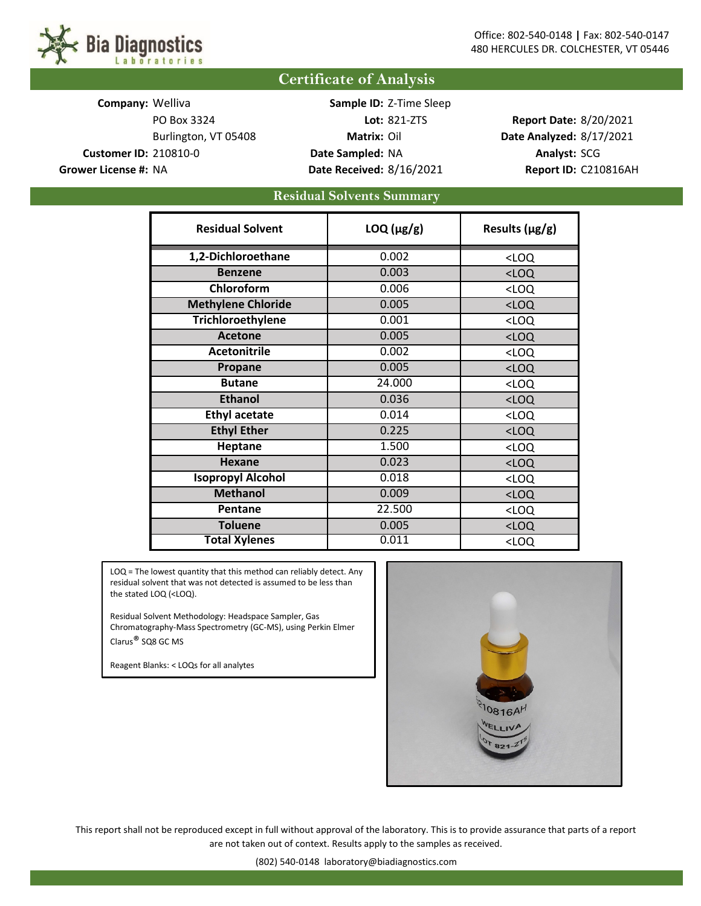## **Certificate of Analysis**

**Company: Welliva Customer ID:** 210810-0 **Date Sampled:** NA **Analyst:** SCG **Grower License #:** NA **Date Received:** 8/16/2021 **Report ID:** C210816AH

PO Box 3324 **Lot:** 821-ZTS **Report Date:** 8/20/2021 Burlington, VT 05408 **Matrix:** Oil **Date Analyzed:** 8/17/2021 Sample ID: Z-Time Sleep

## **Residual Solvents Summary**

| <b>Residual Solvent</b>   | $LOQ$ ( $\mu$ g/g) | Results $(\mu g/g)$ |  |
|---------------------------|--------------------|---------------------|--|
| 1,2-Dichloroethane        | 0.002              | $<$ LOQ             |  |
| <b>Benzene</b>            | 0.003              | $<$ LOQ             |  |
| Chloroform                | 0.006              | $<$ LOQ             |  |
| <b>Methylene Chloride</b> | 0.005              | $<$ LOQ             |  |
| <b>Trichloroethylene</b>  | 0.001              | $<$ LOQ             |  |
| <b>Acetone</b>            | 0.005              | $<$ LOQ             |  |
| <b>Acetonitrile</b>       | 0.002              | $<$ LOQ             |  |
| Propane                   | 0.005              | $<$ LOQ             |  |
| <b>Butane</b>             | 24.000             | $<$ LOQ             |  |
| <b>Ethanol</b>            | 0.036              | $<$ LOQ             |  |
| <b>Ethyl acetate</b>      | 0.014              | $<$ LOQ             |  |
| <b>Ethyl Ether</b>        | 0.225              | $<$ LOQ             |  |
| <b>Heptane</b>            | 1.500              | $<$ LOQ             |  |
| <b>Hexane</b>             | 0.023              | $<$ LOQ             |  |
| <b>Isopropyl Alcohol</b>  | 0.018              | $<$ LOQ             |  |
| <b>Methanol</b>           | 0.009              | $<$ LOQ             |  |
| Pentane                   | 22.500             | $<$ LOQ             |  |
| <b>Toluene</b>            | 0.005              | $<$ LOQ             |  |
| <b>Total Xylenes</b>      | 0.011              | $<$ LOQ             |  |

LOQ = The lowest quantity that this method can reliably detect. Any residual solvent that was not detected is assumed to be less than the stated LOQ (<LOQ).

Residual Solvent Methodology: Headspace Sampler, Gas Chromatography-Mass Spectrometry (GC-MS), using Perkin Elmer Clarus® SQ8 GC MS

Reagent Blanks: < LOQs for all analytes



This report shall not be reproduced except in full without approval of the laboratory. This is to provide assurance that parts of a report are not taken out of context. Results apply to the samples as received.

(802) 540-0148 laboratory@biadiagnostics.com